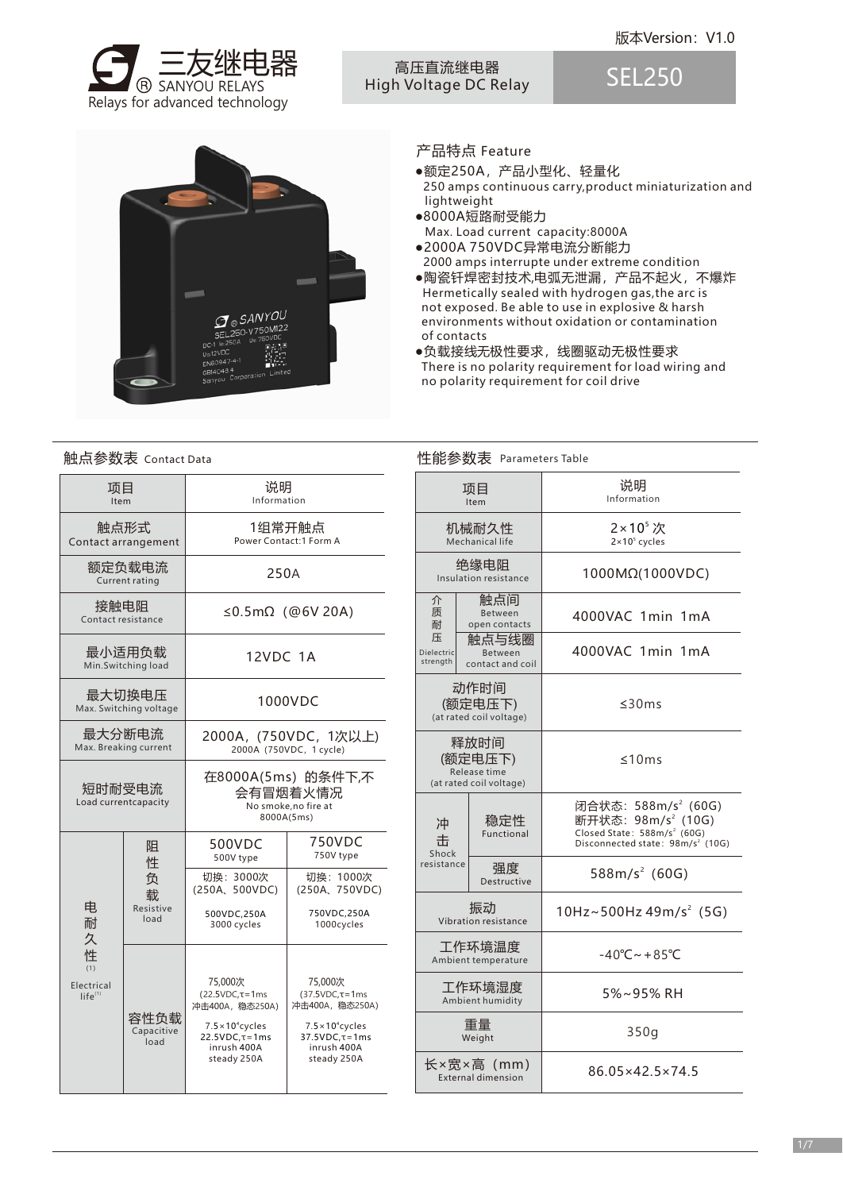

### 高压直流继电器 High Voltage DC Relay

SEL250



# 产品特点 Feature

- ●额定250A,产品小型化、轻量化 250 amps continuous carry,product miniaturization and lightweight
- ●8000A短路耐受能力 Max. Load current capacity:8000A
- ●2000A 750VDC异常电流分断能力 2000 amps interrupte under extreme condition
- ●陶瓷钎焊密封技术,电弧无泄漏,产品不起火,不爆炸 Hermetically sealed with hydrogen gas,the arc is not exposed. Be able to use in explosive & harsh environments without oxidation or contamination of contacts
- ●负载接线无极性要求,线圈驱动无极性要求 There is no polarity requirement for load wiring and no polarity requirement for coil drive

#### 项目 Item 触点形式 Contact arrangement 额定负载电流 Current rating 接触电阻 Contact resistance 最小适用负载 Min.Switching load 最大切换电压 Max. Switching voltage 最大分断电流 Max. Breaking current 短时耐受电流 Load currentcapacity 250A ≤0.5mΩ(@6V 20A) 12VDC 1A 1000VDC 2000A,(750VDC,1次以上) 2000A (750VDC, 1 cycle) 1组常开触点 Power Contact:1 Form A 说明 Information 电 耐 久 性  $(1)$ Electrical  $life^{(1)}$ 阻 性 负 载 Resistive load 在8000A(5ms)的条件下,不 会有冒烟着火情况 No smoke,no fire at 8000A(5ms) 容性负载 Capacitive load 75,000次 (22.5VDC,τ=1ms 冲击400A,稳态250A) 500VDC 500V type 750VDC 750V type 切换:3000次 (250A、500VDC) 500VDC,250A 3000 cycles 切换:1000次 (250A、750VDC) 750VDC,250A 1000cycles  $7.5\times10^{4}$ cycles  $22.5VDC,τ=1ms$ inrush 400A steady 250A 介 质 耐 压 冲 击 Dielectric strength 75,000次 (37.5VDC,τ=1ms 冲击400A,稳态250A)  $7.5 \times 10^{4}$ cycles 37.5VDC,τ=1ms inrush 400A steady 250A

| 触点参数表 Contact Data                                                        |                                |                                                                                |                                                                    |                             | 性能参数表 Parameters Table                       |                                                                                                                                                              |  |  |
|---------------------------------------------------------------------------|--------------------------------|--------------------------------------------------------------------------------|--------------------------------------------------------------------|-----------------------------|----------------------------------------------|--------------------------------------------------------------------------------------------------------------------------------------------------------------|--|--|
| 项目<br>Item                                                                |                                | 说明<br>Information                                                              |                                                                    |                             | 项目<br>Item                                   | 说明<br>Information                                                                                                                                            |  |  |
| 触点形式<br>Contact arrangement                                               |                                | 1组常开触点<br>Power Contact:1 Form A                                               |                                                                    |                             | 机械耐久性<br>Mechanical life                     | 2×10 <sup>5</sup> 次<br>$2 \times 10^5$ cycles                                                                                                                |  |  |
| 额定负载电流<br>Current rating                                                  |                                | 250A                                                                           |                                                                    |                             | 绝缘电阻<br>Insulation resistance                | 1000MΩ(1000VDC)                                                                                                                                              |  |  |
| 接触电阻<br>Contact resistance                                                |                                | $\leq$ 0.5m $\Omega$ (@6V 20A)                                                 |                                                                    | 介<br>质<br>耐                 | 触点间<br>Between<br>open contacts              | 4000VAC 1min 1mA                                                                                                                                             |  |  |
| 最小适用负载<br>Min.Switching load                                              |                                | <b>12VDC 1A</b>                                                                |                                                                    | 压<br>Dielectric<br>strength | 触点与线圈<br>Between<br>contact and coil         | 4000VAC 1min 1mA                                                                                                                                             |  |  |
| 最大切换电压<br>Max. Switching voltage                                          |                                | 1000VDC                                                                        |                                                                    |                             | 动作时间<br>(额定电压下)<br>(at rated coil voltage)   | ≤30ms                                                                                                                                                        |  |  |
| 最大分断电流<br>Max. Breaking current                                           |                                | 2000A, (750VDC, 1次以上)<br>2000A (750VDC, 1 cycle)                               |                                                                    |                             | 释放时间<br>(额定电压下)<br>Release time              | ≤10ms                                                                                                                                                        |  |  |
|                                                                           | 短时耐受电流<br>Load currentcapacity | 在8000A(5ms) 的条件下,不<br>会有冒烟着火情况<br>No smoke, no fire at<br>8000A(5ms)<br>750VDC |                                                                    | 冲<br>击                      | (at rated coil voltage)<br>稳定性<br>Functional | 闭合状态: 588m/s <sup>2</sup> (60G)<br>断开状态: 98m/s <sup>2</sup> (10G)<br>Closed State: 588m/s <sup>2</sup> (60G)<br>Disconnected state: 98m/s <sup>2</sup> (10G) |  |  |
| 500VDC<br>阻<br>750V type<br>500V type<br>性<br>负<br>切换: 1000次<br>切换: 3000次 |                                | Shock<br>resistance                                                            | 强度<br><b>Destructive</b>                                           | 588m/s <sup>2</sup> (60G)   |                                              |                                                                                                                                                              |  |  |
| 电<br>耐<br>久<br>性<br>(1)<br>Electrical<br>life <sup>(1)</sup>              | 载<br>Resistive<br>load         | (250A, 500VDC)<br>500VDC,250A<br>3000 cycles                                   | (250A, 750VDC)<br>750VDC,250A<br>1000cycles                        |                             | 振动<br>Vibration resistance                   | 10Hz~500Hz 49m/s <sup>2</sup> (5G)                                                                                                                           |  |  |
|                                                                           | 容性负载<br>Capacitive<br>load     |                                                                                |                                                                    |                             | 工作环境温度<br>Ambient temperature                | $-40^{\circ}$ C ~ + 85 $^{\circ}$ C                                                                                                                          |  |  |
|                                                                           |                                | 75,000次<br>$(22.5VDC, \tau = 1ms$<br>冲击400A, 稳态250A)                           | 75,000次<br>$(37.5VDC, \tau = 1ms$<br>冲击400A, 稳态250A)               |                             | 工作环境湿度<br>Ambient humidity                   | 5%~95% RH                                                                                                                                                    |  |  |
|                                                                           |                                | $7.5 \times 10^4$ cycles<br>$22.5VDC.\tau=1ms$<br>inrush 400A                  | $7.5 \times 10^4$ cycles<br>$37.5$ VDC. $\tau$ =1ms<br>inrush 400A |                             | 重量<br>Weight                                 | 350q                                                                                                                                                         |  |  |
|                                                                           |                                | steady 250A<br>steady 250A                                                     |                                                                    |                             | 长×宽×高 (mm)<br><b>External dimension</b>      | 86.05×42.5×74.5                                                                                                                                              |  |  |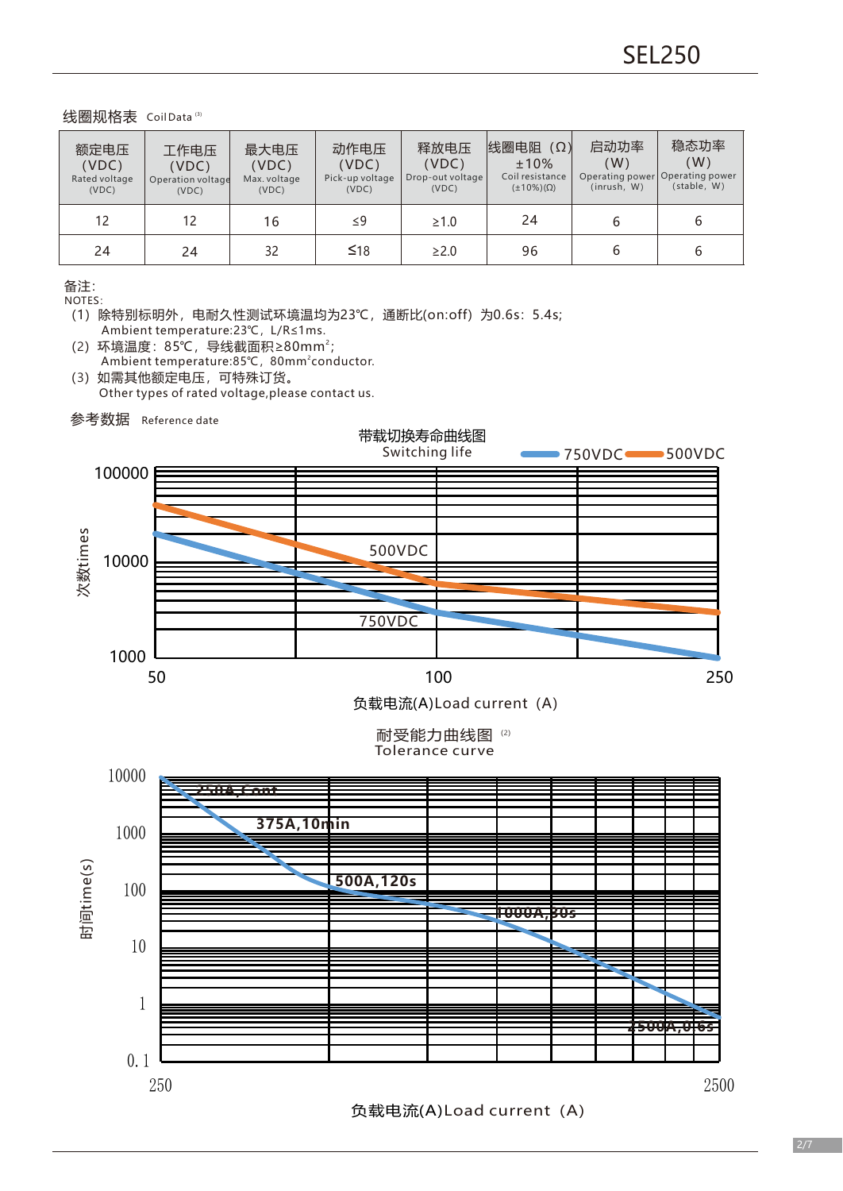线圈规格表 CoilData (3)

| 额定电压<br>(VDC)<br>Rated voltage<br>(VDC) | 工作电压<br>(VDC)<br>Operation voltage<br>(VDC) | 最大电压<br>(VDC)<br>Max. voltage<br>(VDC) | 动作电压<br>(VDC)<br>Pick-up voltage<br>(VDC) | 释放电压<br>(VDC)<br>Drop-out voltage<br>(VDC) | 线圈电阻<br>$(\Omega)$<br>±10%<br>Coil resistance<br>$(\pm 10\%)(\Omega)$ | 启动功率<br>(W)<br>(inrush, W) | 稳态功率<br>(W)<br>Operating power Operating power<br>(stable, W) |
|-----------------------------------------|---------------------------------------------|----------------------------------------|-------------------------------------------|--------------------------------------------|-----------------------------------------------------------------------|----------------------------|---------------------------------------------------------------|
| 12                                      | 12                                          | 16                                     | $\leq$ 9                                  | $\geq 1.0$                                 | 24                                                                    |                            | b                                                             |
| 24                                      | 24                                          | 32                                     | $\leq 18$                                 | $\geq$ 2.0                                 | 96                                                                    |                            | 6                                                             |

备注:

NOTES:

(2) 环境温度: 85℃,导线截面积≥80mm<sup>2</sup>; Ambient temperature:85℃, 80mm<sup>2</sup>conductor. (3)如需其他额定电压,可特殊订货。

Other types of rated voltage,please contact us.

参考数据 Reference date



Tolerance curve



负载电流(A)Load current (A)

<sup>(</sup>1)除特别标明外,电耐久性测试环境温均为23℃,通断比(on:off)为0.6s:5.4s; Ambient temperature:23℃,L/R≤1ms.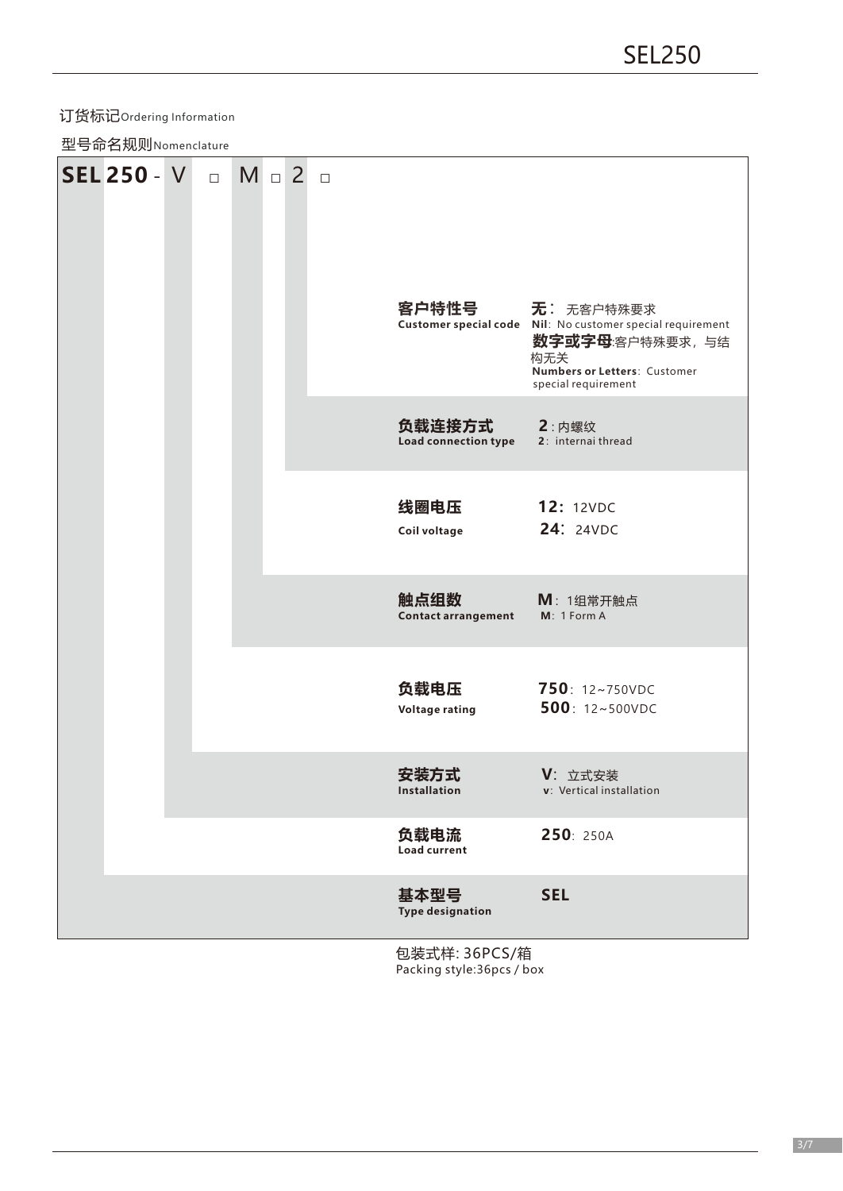# 订货标记Ordering Information

型号命名规则Nomenclature

| SEL 250 - V <b>D</b> |  | $M \Box 2 \Box$ |                                    |                                                                                                                                                           |
|----------------------|--|-----------------|------------------------------------|-----------------------------------------------------------------------------------------------------------------------------------------------------------|
|                      |  |                 | 客户特性号                              | 无: 无客户特殊要求<br>Customer special code Nil: No customer special requirement<br>数字或字母:客户特殊要求,与结<br>构无关<br>Numbers or Letters: Customer<br>special requirement |
|                      |  |                 | 负载连接方式<br>Load connection type     | $2:$ 内螺纹<br>2: internai thread                                                                                                                            |
|                      |  |                 | 线圈电压<br>Coil voltage               | <b>12: 12VDC</b><br><b>24: 24VDC</b>                                                                                                                      |
|                      |  |                 | 触点组数<br><b>Contact arrangement</b> | M: 1组常开触点<br>M: 1 Form A                                                                                                                                  |
|                      |  |                 | 负载电压<br><b>Voltage rating</b>      | 750: 12~750VDC<br>500: 12~500VDC                                                                                                                          |
|                      |  |                 | 安装方式<br>Installation               | V: 立式安装<br>v: Vertical installation                                                                                                                       |
|                      |  |                 | 负载电流<br><b>Load current</b>        | 250: 250A                                                                                                                                                 |
|                      |  |                 | 基本型号<br><b>Type designation</b>    | <b>SEL</b>                                                                                                                                                |

包装式样: 36PCS/箱 Packing style:36pcs / box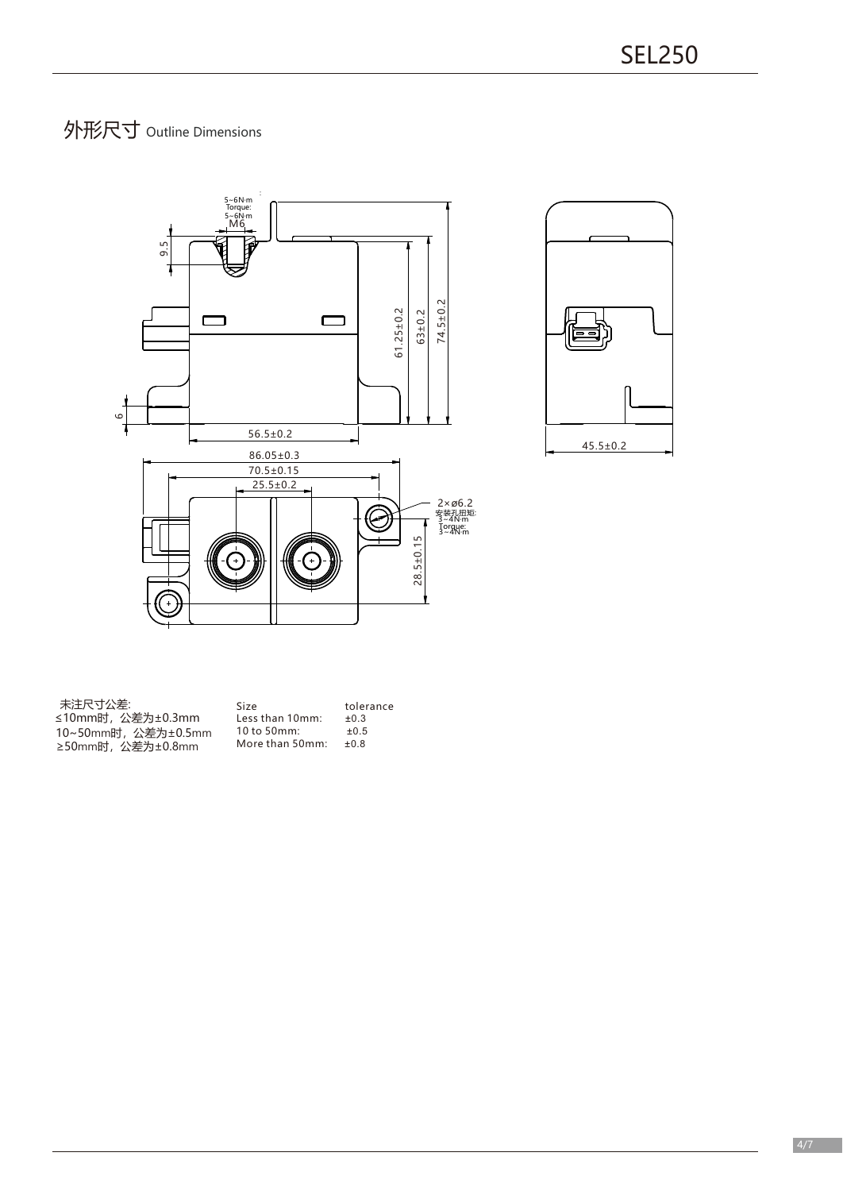# 外形尺寸 Outline Dimensions





| 未注尺寸公差:             | Size             | tolerance |
|---------------------|------------------|-----------|
| ≤10mm时,公差为±0.3mm    | Less than 10mm:  | $+0.3$    |
| 10~50mm时, 公差为±0.5mm | $10$ to $50$ mm: | $+0.5$    |
| ≥50mm时, 公差为±0.8mm   | More than 50mm:  | $+0.8$    |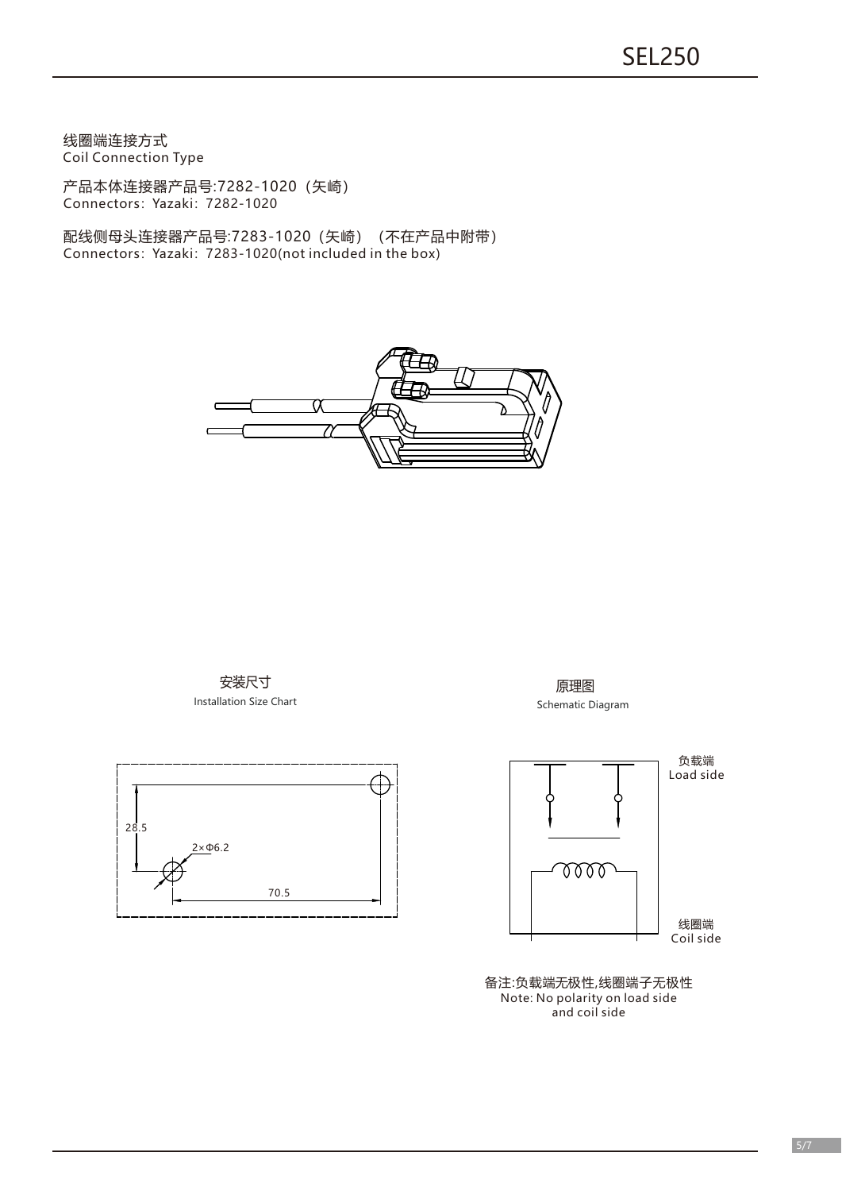线圈端连接方式 Coil Connection Type

产品本体连接器产品号:7282-1020(矢崎) Connectors: Yazaki: 7282-1020

配线侧母头连接器产品号:7283-1020(矢崎)(不在产品中附带) Connectors:Yazaki:7283-1020(not included in the box)



安装尺寸 Installation Size Chart



原理图 Schematic Diagram



备注:负载端无极性,线圈端子无极性 Note: No polarity on load side and coil side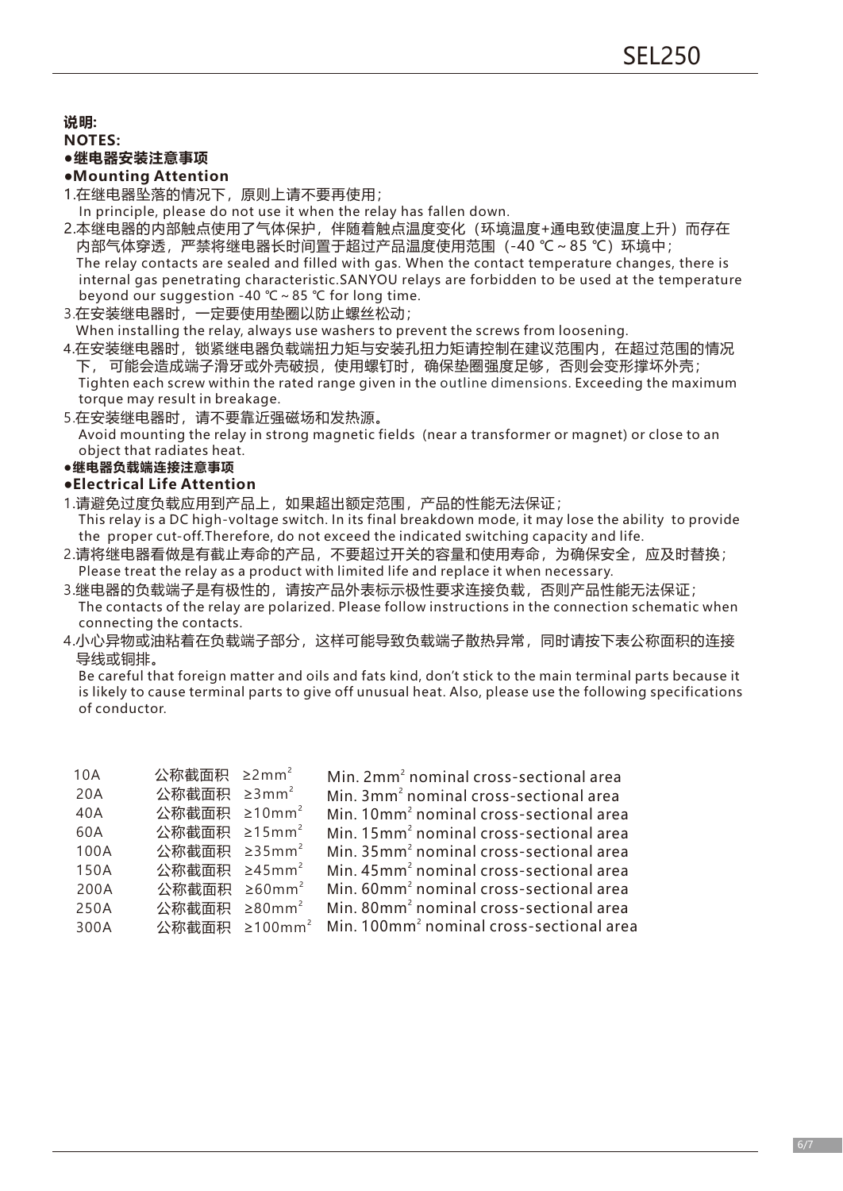**说明:**

## **NOTES:**

# **●继电器安装注意事项**

# **●Mounting Attention**

- 1.在继电器坠落的情况下,原则上请不要再使用;
- In principle, please do not use it when the relay has fallen down.
- 2.本继电器的内部触点使用了气体保护,伴随着触点温度变化(环境温度+通电致使温度上升)而存在 内部气体穿透,严禁将继电器长时间置于超过产品温度使用范围(-40 ℃~85 ℃)环境中; The relay contacts are sealed and filled with gas. When the contact temperature changes, there is internal gas penetrating characteristic.SANYOU relays are forbidden to be used at the temperature beyond our suggestion -40 ℃~85 ℃ for long time.
- 3.在安装继电器时,一定要使用垫圈以防止螺丝松动;

When installing the relay, always use washers to prevent the screws from loosening.

- 4.在安装继电器时,锁紧继电器负载端扭力矩与安装孔扭力矩请控制在建议范围内,在超过范围的情况 下,可能会造成端子滑牙或外壳破损,使用螺钉时,确保垫圈强度足够,否则会变形撑坏外壳; Tighten each screw within the rated range given in the outline dimensions. Exceeding the maximum torque may result in breakage.
- 5.在安装继电器时,请不要靠近强磁场和发热源。
- Avoid mounting the relay in strong magnetic fields (near a transformer or magnet) or close to an object that radiates heat.

# **●继电器负载端连接注意事项**

#### **●Electrical Life Attention**

- 1.请避免过度负载应用到产品上,如果超出额定范围,产品的性能无法保证; This relay is a DC high-voltage switch. In its final breakdown mode, it may lose the ability to provide the proper cut-off.Therefore, do not exceed the indicated switching capacity and life.
- 2.请将继电器看做是有截止寿命的产品,不要超过开关的容量和使用寿命,为确保安全,应及时替换; Please treat the relay as a product with limited life and replace it when necessary.
- 3.继电器的负载端子是有极性的,请按产品外表标示极性要求连接负载,否则产品性能无法保证; The contacts of the relay are polarized. Please follow instructions in the connection schematic when connecting the contacts.
- 4.小心异物或油粘着在负载端子部分,这样可能导致负载端子散热异常,同时请按下表公称面积的连接 导线或铜排。

Be careful that foreign matter and oils and fats kind, don't stick to the main terminal parts because it is likely to cause terminal parts to give off unusual heat. Also, please use the following specifications of conductor.

| 10A  | 公称截面积 ≥2mm <sup>2</sup>  | Min. 2mm <sup>2</sup> nominal cross-sectional area                             |
|------|--------------------------|--------------------------------------------------------------------------------|
| 20A  | 公称截面积 ≥3mm <sup>2</sup>  | Min. 3mm <sup>2</sup> nominal cross-sectional area                             |
| 40A  | 公称截面积 ≥10mm <sup>2</sup> | Min. 10mm <sup>2</sup> nominal cross-sectional area                            |
| 60A  | 公称截面积 ≥15mm <sup>2</sup> | Min. 15mm <sup>2</sup> nominal cross-sectional area                            |
| 100A | 公称截面积 ≥35mm <sup>2</sup> | Min. 35mm <sup>2</sup> nominal cross-sectional area                            |
| 150A | 公称截面积 ≥45mm <sup>2</sup> | Min. 45mm <sup>2</sup> nominal cross-sectional area                            |
| 200A | 公称截面积 ≥60mm <sup>2</sup> | Min. 60mm <sup>2</sup> nominal cross-sectional area                            |
| 250A | 公称截面积 ≥80mm <sup>2</sup> | Min. 80mm <sup>2</sup> nominal cross-sectional area                            |
| 300A |                          | 公称截面积 ≥100mm <sup>2</sup> Min. 100mm <sup>2</sup> nominal cross-sectional area |
|      |                          |                                                                                |